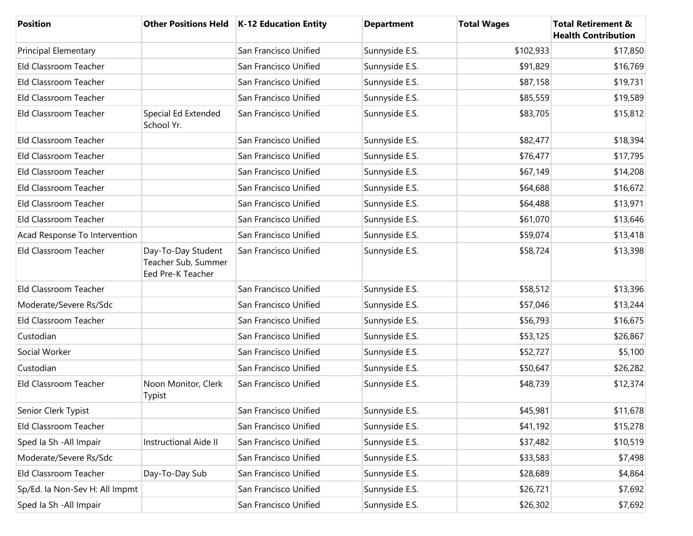| <b>Position</b>                |                                                                | Other Positions Held   K-12 Education Entity | <b>Department</b> | <b>Total Wages</b> | <b>Total Retirement &amp;</b><br><b>Health Contribution</b> |
|--------------------------------|----------------------------------------------------------------|----------------------------------------------|-------------------|--------------------|-------------------------------------------------------------|
| <b>Principal Elementary</b>    |                                                                | San Francisco Unified                        | Sunnyside E.S.    | \$102,933          | \$17,850                                                    |
| Eld Classroom Teacher          |                                                                | San Francisco Unified                        | Sunnyside E.S.    | \$91,829           | \$16,769                                                    |
| Eld Classroom Teacher          |                                                                | San Francisco Unified                        | Sunnyside E.S.    | \$87,158           | \$19,731                                                    |
| Eld Classroom Teacher          |                                                                | San Francisco Unified                        | Sunnyside E.S.    | \$85,559           | \$19,589                                                    |
| Eld Classroom Teacher          | Special Ed Extended<br>School Yr.                              | San Francisco Unified                        | Sunnyside E.S.    | \$83,705           | \$15,812                                                    |
| Eld Classroom Teacher          |                                                                | San Francisco Unified                        | Sunnyside E.S.    | \$82,477           | \$18,394                                                    |
| Eld Classroom Teacher          |                                                                | San Francisco Unified                        | Sunnyside E.S.    | \$76,477           | \$17,795                                                    |
| Eld Classroom Teacher          |                                                                | San Francisco Unified                        | Sunnyside E.S.    | \$67,149           | \$14,208                                                    |
| Eld Classroom Teacher          |                                                                | San Francisco Unified                        | Sunnyside E.S.    | \$64,688           | \$16,672                                                    |
| Eld Classroom Teacher          |                                                                | San Francisco Unified                        | Sunnyside E.S.    | \$64,488           | \$13,971                                                    |
| Eld Classroom Teacher          |                                                                | San Francisco Unified                        | Sunnyside E.S.    | \$61,070           | \$13,646                                                    |
| Acad Response To Intervention  |                                                                | San Francisco Unified                        | Sunnyside E.S.    | \$59,074           | \$13,418                                                    |
| Eld Classroom Teacher          | Day-To-Day Student<br>Teacher Sub, Summer<br>Eed Pre-K Teacher | San Francisco Unified                        | Sunnyside E.S.    | \$58,724           | \$13,398                                                    |
| Eld Classroom Teacher          |                                                                | San Francisco Unified                        | Sunnyside E.S.    | \$58,512           | \$13,396                                                    |
| Moderate/Severe Rs/Sdc         |                                                                | San Francisco Unified                        | Sunnyside E.S.    | \$57,046           | \$13,244                                                    |
| Eld Classroom Teacher          |                                                                | San Francisco Unified                        | Sunnyside E.S.    | \$56,793           | \$16,675                                                    |
| Custodian                      |                                                                | San Francisco Unified                        | Sunnyside E.S.    | \$53,125           | \$26,867                                                    |
| Social Worker                  |                                                                | San Francisco Unified                        | Sunnyside E.S.    | \$52,727           | \$5,100                                                     |
| Custodian                      |                                                                | San Francisco Unified                        | Sunnyside E.S.    | \$50,647           | \$26,282                                                    |
| Eld Classroom Teacher          | Noon Monitor, Clerk<br>Typist                                  | San Francisco Unified                        | Sunnyside E.S.    | \$48,739           | \$12,374                                                    |
| Senior Clerk Typist            |                                                                | San Francisco Unified                        | Sunnyside E.S.    | \$45,981           | \$11,678                                                    |
| Eld Classroom Teacher          |                                                                | San Francisco Unified                        | Sunnyside E.S.    | \$41,192           | \$15,278                                                    |
| Sped Ia Sh - All Impair        | <b>Instructional Aide II</b>                                   | San Francisco Unified                        | Sunnyside E.S.    | \$37,482           | \$10,519                                                    |
| Moderate/Severe Rs/Sdc         |                                                                | San Francisco Unified                        | Sunnyside E.S.    | \$33,583           | \$7,498                                                     |
| Eld Classroom Teacher          | Day-To-Day Sub                                                 | San Francisco Unified                        | Sunnyside E.S.    | \$28,689           | \$4,864                                                     |
| Sp/Ed. la Non-Sev H: All Impmt |                                                                | San Francisco Unified                        | Sunnyside E.S.    | \$26,721           | \$7,692                                                     |
| Sped Ia Sh - All Impair        |                                                                | San Francisco Unified                        | Sunnyside E.S.    | \$26,302           | \$7,692                                                     |